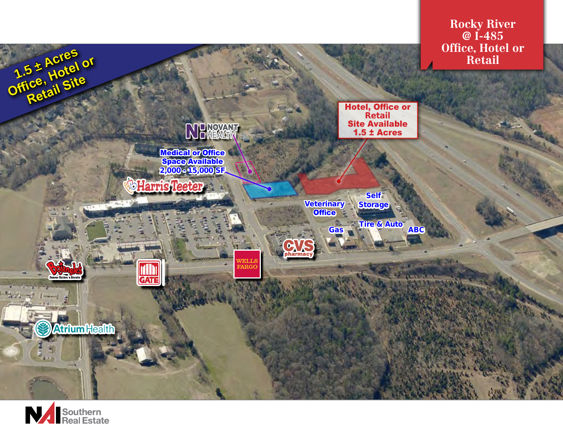**Rocky River @ I-485 Office, Hotel or**



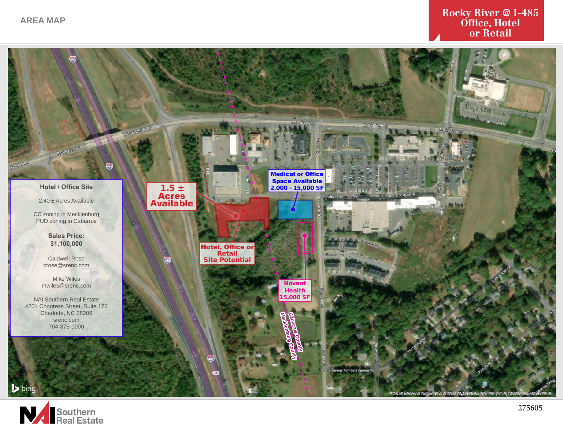## **Rocky River @ I-485 Office, Hotel or Retail**